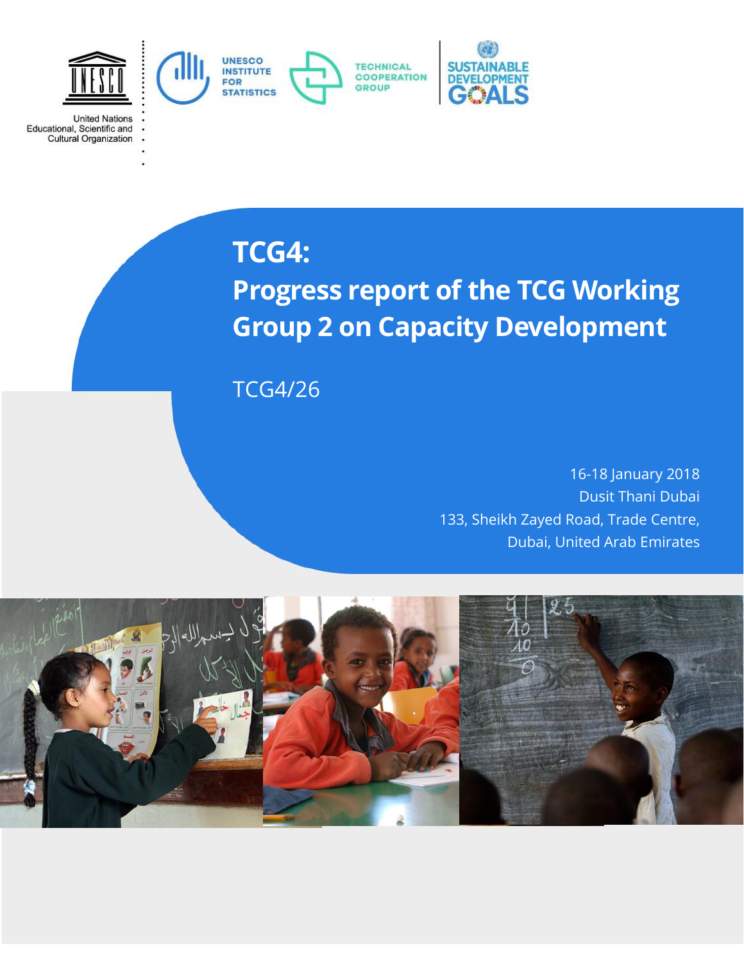

**TCG4:**

**United Nations** 

Educational, Scientific and<br>Cultural Organization

**Progress report of the TCG Working Group 2 on Capacity Development**

TCG4/26

16-18 January 2018 Dusit Thani Dubai 133, Sheikh Zayed Road, Trade Centre, Dubai, United Arab Emirates

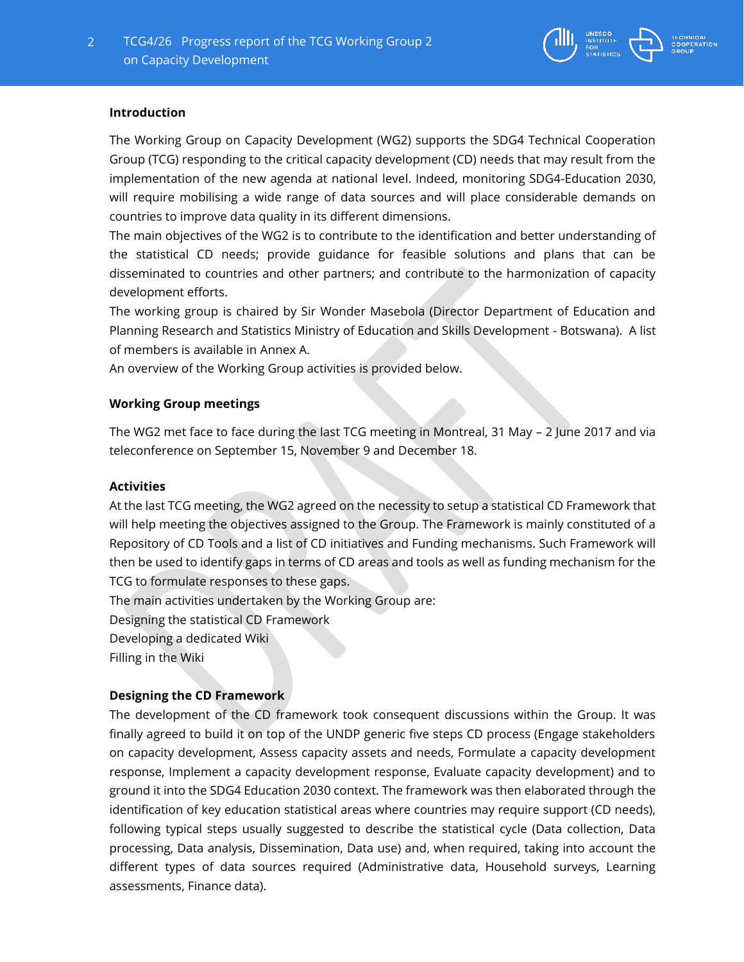

### **Introduction**

The Working Group on Capacity Development (WG2) supports the SDG4 Technical Cooperation Group (TCG) responding to the critical capacity development (CD) needs that may result from the implementation of the new agenda at national level. Indeed, monitoring SDG4-Education 2030, will require mobilising a wide range of data sources and will place considerable demands on countries to improve data quality in its different dimensions.

The main objectives of the WG2 is to contribute to the identification and better understanding of the statistical CD needs; provide guidance for feasible solutions and plans that can be disseminated to countries and other partners; and contribute to the harmonization of capacity development efforts.

The working group is chaired by Sir Wonder Masebola (Director Department of Education and Planning Research and Statistics Ministry of Education and Skills Development - Botswana). A list of members is available in Annex A.

An overview of the Working Group activities is provided below.

#### **Working Group meetings**

The WG2 met face to face during the last TCG meeting in Montreal, 31 May – 2 June 2017 and via teleconference on September 15, November 9 and December 18.

### **Activities**

At the last TCG meeting, the WG2 agreed on the necessity to setup a statistical CD Framework that will help meeting the objectives assigned to the Group. The Framework is mainly constituted of a Repository of CD Tools and a list of CD initiatives and Funding mechanisms. Such Framework will then be used to identify gaps in terms of CD areas and tools as well as funding mechanism for the TCG to formulate responses to these gaps.

The main activities undertaken by the Working Group are:

Designing the statistical CD Framework

Developing a dedicated Wiki

Filling in the Wiki

# **Designing the CD Framework**

The development of the CD framework took consequent discussions within the Group. It was finally agreed to build it on top of the UNDP generic five steps CD process (Engage stakeholders on capacity development, Assess capacity assets and needs, Formulate a capacity development response, Implement a capacity development response, Evaluate capacity development) and to ground it into the SDG4 Education 2030 context. The framework was then elaborated through the identification of key education statistical areas where countries may require support (CD needs), following typical steps usually suggested to describe the statistical cycle (Data collection, Data processing, Data analysis, Dissemination, Data use) and, when required, taking into account the different types of data sources required (Administrative data, Household surveys, Learning assessments, Finance data).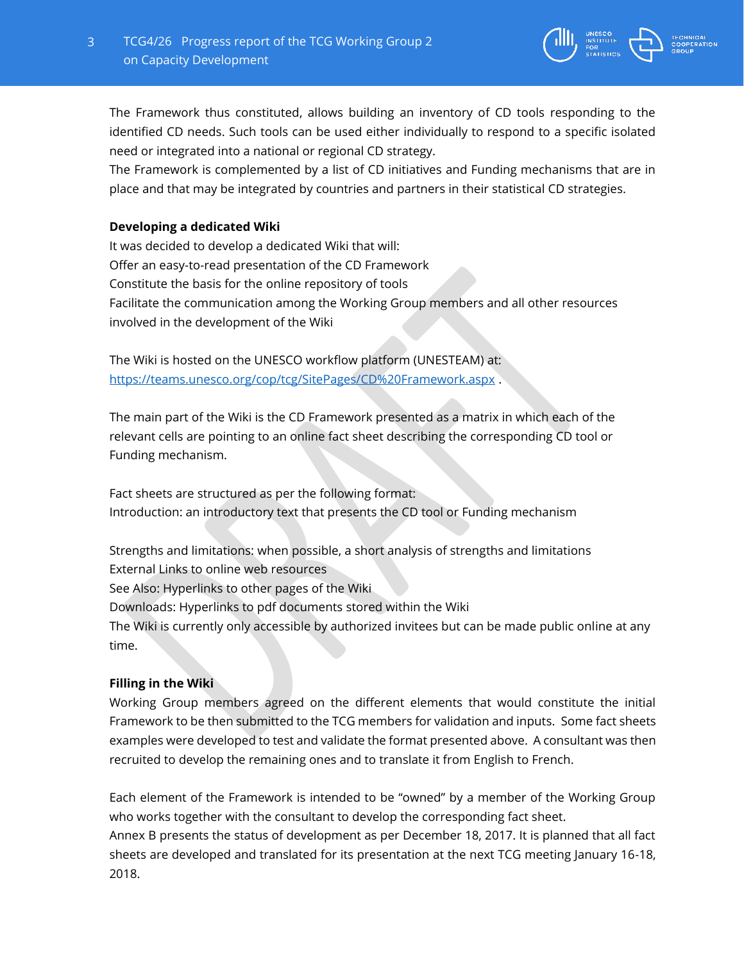

The Framework thus constituted, allows building an inventory of CD tools responding to the identified CD needs. Such tools can be used either individually to respond to a specific isolated need or integrated into a national or regional CD strategy.

The Framework is complemented by a list of CD initiatives and Funding mechanisms that are in place and that may be integrated by countries and partners in their statistical CD strategies.

# **Developing a dedicated Wiki**

It was decided to develop a dedicated Wiki that will: Offer an easy-to-read presentation of the CD Framework Constitute the basis for the online repository of tools Facilitate the communication among the Working Group members and all other resources involved in the development of the Wiki

The Wiki is hosted on the UNESCO workflow platform (UNESTEAM) at: <https://teams.unesco.org/cop/tcg/SitePages/CD%20Framework.aspx> .

The main part of the Wiki is the CD Framework presented as a matrix in which each of the relevant cells are pointing to an online fact sheet describing the corresponding CD tool or Funding mechanism.

Fact sheets are structured as per the following format: Introduction: an introductory text that presents the CD tool or Funding mechanism

Strengths and limitations: when possible, a short analysis of strengths and limitations External Links to online web resources

See Also: Hyperlinks to other pages of the Wiki

Downloads: Hyperlinks to pdf documents stored within the Wiki

The Wiki is currently only accessible by authorized invitees but can be made public online at any time.

# **Filling in the Wiki**

Working Group members agreed on the different elements that would constitute the initial Framework to be then submitted to the TCG members for validation and inputs. Some fact sheets examples were developed to test and validate the format presented above. A consultant was then recruited to develop the remaining ones and to translate it from English to French.

Each element of the Framework is intended to be "owned" by a member of the Working Group who works together with the consultant to develop the corresponding fact sheet.

Annex B presents the status of development as per December 18, 2017. It is planned that all fact sheets are developed and translated for its presentation at the next TCG meeting January 16-18, 2018.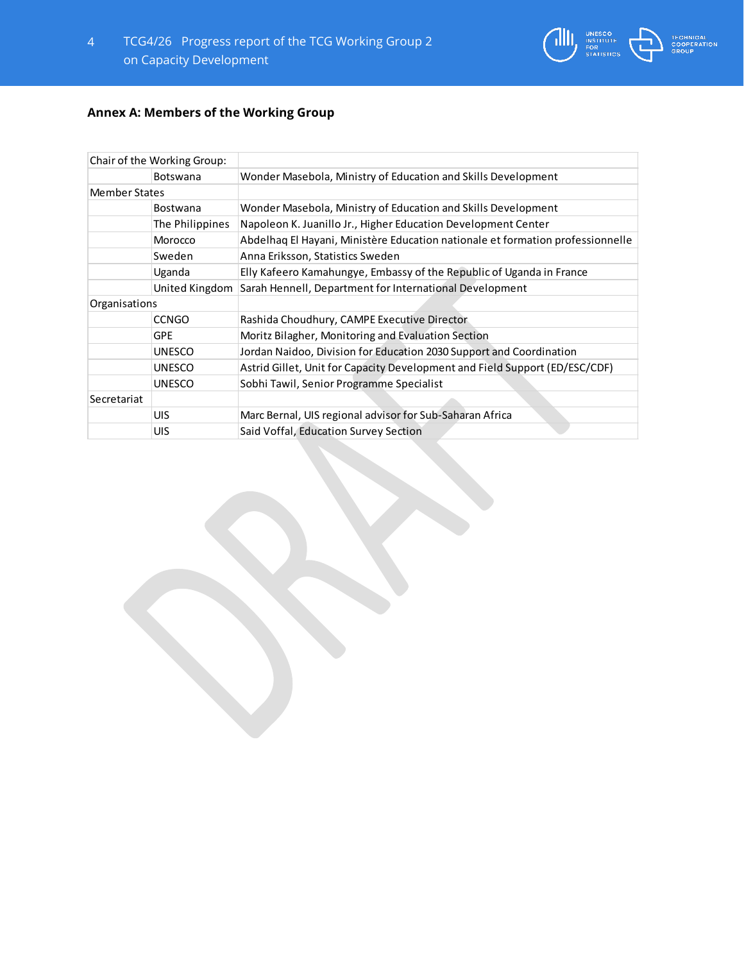

| Chair of the Working Group: |                 |                                                                                |
|-----------------------------|-----------------|--------------------------------------------------------------------------------|
|                             | <b>Botswana</b> | Wonder Masebola, Ministry of Education and Skills Development                  |
| <b>Member States</b>        |                 |                                                                                |
|                             | <b>Bostwana</b> | Wonder Masebola, Ministry of Education and Skills Development                  |
|                             | The Philippines | Napoleon K. Juanillo Jr., Higher Education Development Center                  |
|                             | Morocco         | Abdelhag El Hayani, Ministère Education nationale et formation professionnelle |
|                             | Sweden          | Anna Eriksson, Statistics Sweden                                               |
|                             | Uganda          | Elly Kafeero Kamahungye, Embassy of the Republic of Uganda in France           |
|                             | United Kingdom  | Sarah Hennell, Department for International Development                        |
| Organisations               |                 |                                                                                |
|                             | <b>CCNGO</b>    | Rashida Choudhury, CAMPE Executive Director                                    |
|                             | <b>GPE</b>      | Moritz Bilagher, Monitoring and Evaluation Section                             |
|                             | <b>UNESCO</b>   | Jordan Naidoo, Division for Education 2030 Support and Coordination            |
|                             | <b>UNESCO</b>   | Astrid Gillet, Unit for Capacity Development and Field Support (ED/ESC/CDF)    |
|                             | <b>UNESCO</b>   | Sobhi Tawil, Senior Programme Specialist                                       |
| Secretariat                 |                 |                                                                                |
|                             | UIS             | Marc Bernal, UIS regional advisor for Sub-Saharan Africa                       |
|                             | <b>UIS</b>      | Said Voffal, Education Survey Section                                          |

**AND STATISTICS** 

**CAL**<br>RATION